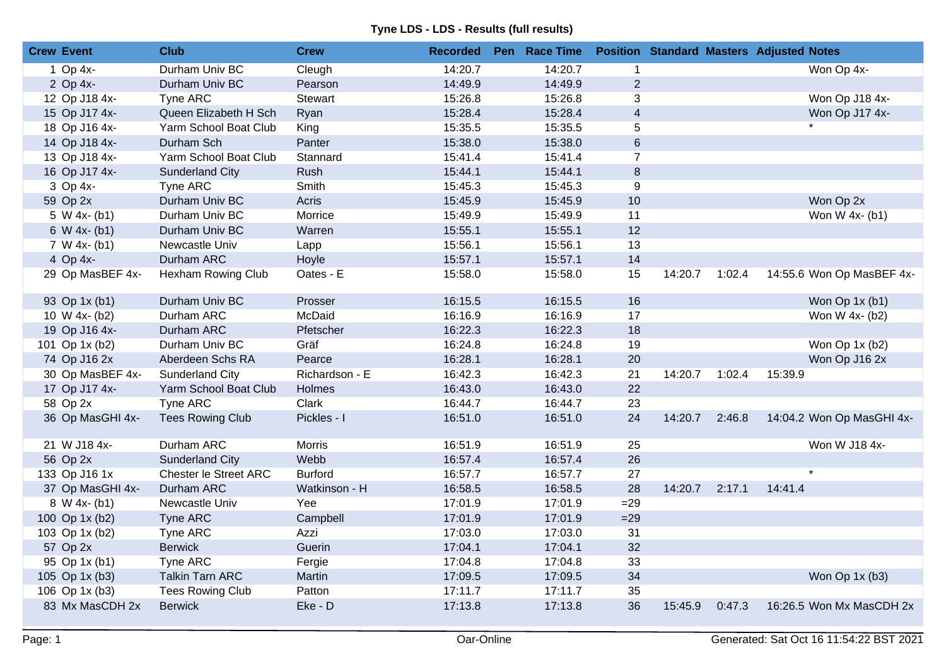| <b>Crew Event</b> | <b>Club</b>                  | <b>Crew</b>    | <b>Recorded</b> | Pen Race Time |                |         |        | <b>Position Standard Masters Adjusted Notes</b> |
|-------------------|------------------------------|----------------|-----------------|---------------|----------------|---------|--------|-------------------------------------------------|
| 1 Op $4x-$        | Durham Univ BC               | Cleugh         | 14:20.7         | 14:20.7       | $\mathbf{1}$   |         |        | Won Op 4x-                                      |
| 2 Op 4x-          | Durham Univ BC               | Pearson        | 14:49.9         | 14:49.9       | $\overline{2}$ |         |        |                                                 |
| 12 Op J18 4x-     | Tyne ARC                     | Stewart        | 15:26.8         | 15:26.8       | 3              |         |        | Won Op J18 4x-                                  |
| 15 Op J17 4x-     | Queen Elizabeth H Sch        | Ryan           | 15:28.4         | 15:28.4       | $\overline{4}$ |         |        | Won Op J17 4x-                                  |
| 18 Op J16 4x-     | Yarm School Boat Club        | King           | 15:35.5         | 15:35.5       | 5              |         |        |                                                 |
| 14 Op J18 4x-     | Durham Sch                   | Panter         | 15:38.0         | 15:38.0       | 6              |         |        |                                                 |
| 13 Op J18 4x-     | Yarm School Boat Club        | Stannard       | 15:41.4         | 15:41.4       | $\overline{7}$ |         |        |                                                 |
| 16 Op J17 4x-     | <b>Sunderland City</b>       | Rush           | 15:44.1         | 15:44.1       | $\bf 8$        |         |        |                                                 |
| 3 Op 4x-          | Tyne ARC                     | Smith          | 15:45.3         | 15:45.3       | 9              |         |        |                                                 |
| 59 Op 2x          | Durham Univ BC               | Acris          | 15:45.9         | 15:45.9       | 10             |         |        | Won Op 2x                                       |
| $5 W 4x - (b1)$   | Durham Univ BC               | Morrice        | 15:49.9         | 15:49.9       | 11             |         |        | Won W 4x- (b1)                                  |
| 6 W $4x - (b1)$   | Durham Univ BC               | Warren         | 15:55.1         | 15:55.1       | 12             |         |        |                                                 |
| $7 W 4x-(b1)$     | Newcastle Univ               | Lapp           | 15:56.1         | 15:56.1       | 13             |         |        |                                                 |
| 4 Op 4x-          | Durham ARC                   | Hoyle          | 15:57.1         | 15:57.1       | 14             |         |        |                                                 |
| 29 Op MasBEF 4x-  | Hexham Rowing Club           | Oates - E      | 15:58.0         | 15:58.0       | 15             | 14:20.7 | 1:02.4 | 14:55.6 Won Op MasBEF 4x-                       |
| 93 Op 1x (b1)     | Durham Univ BC               | Prosser        | 16:15.5         | 16:15.5       | 16             |         |        | Won $Op 1x (b1)$                                |
| 10 W 4x- (b2)     | Durham ARC                   | McDaid         | 16:16.9         | 16:16.9       | 17             |         |        | Won W 4x- (b2)                                  |
| 19 Op J16 4x-     | Durham ARC                   | Pfetscher      | 16:22.3         | 16:22.3       | 18             |         |        |                                                 |
| 101 Op 1x (b2)    | Durham Univ BC               | Gräf           | 16:24.8         | 16:24.8       | 19             |         |        | Won $Op 1x (b2)$                                |
| 74 Op J16 2x      | Aberdeen Schs RA             | Pearce         | 16:28.1         | 16:28.1       | 20             |         |        | Won Op J16 2x                                   |
| 30 Op MasBEF 4x-  | <b>Sunderland City</b>       | Richardson - E | 16:42.3         | 16:42.3       | 21             | 14:20.7 | 1:02.4 | 15:39.9                                         |
| 17 Op J17 4x-     | Yarm School Boat Club        | Holmes         | 16:43.0         | 16:43.0       | 22             |         |        |                                                 |
| 58 Op 2x          | Tyne ARC                     | Clark          | 16:44.7         | 16:44.7       | 23             |         |        |                                                 |
| 36 Op MasGHI 4x-  | <b>Tees Rowing Club</b>      | Pickles - I    | 16:51.0         | 16:51.0       | 24             | 14:20.7 | 2:46.8 | 14:04.2 Won Op MasGHI 4x-                       |
| 21 W J18 4x-      | Durham ARC                   | Morris         | 16:51.9         | 16:51.9       | 25             |         |        | Won W J18 4x-                                   |
| 56 Op 2x          | <b>Sunderland City</b>       | Webb           | 16:57.4         | 16:57.4       | 26             |         |        |                                                 |
| 133 Op J16 1x     | <b>Chester le Street ARC</b> | <b>Burford</b> | 16:57.7         | 16:57.7       | 27             |         |        | $\star$                                         |
| 37 Op MasGHI 4x-  | Durham ARC                   | Watkinson - H  | 16:58.5         | 16:58.5       | 28             | 14:20.7 | 2:17.1 | 14:41.4                                         |
| 8 W 4x- (b1)      | Newcastle Univ               | Yee            | 17:01.9         | 17:01.9       | $=29$          |         |        |                                                 |
| 100 Op 1x (b2)    | Tyne ARC                     | Campbell       | 17:01.9         | 17:01.9       | $=29$          |         |        |                                                 |
| 103 Op 1x (b2)    | Tyne ARC                     | Azzi           | 17:03.0         | 17:03.0       | 31             |         |        |                                                 |
| 57 Op 2x          | <b>Berwick</b>               | Guerin         | 17:04.1         | 17:04.1       | 32             |         |        |                                                 |
| 95 Op 1x (b1)     | Tyne ARC                     | Fergie         | 17:04.8         | 17:04.8       | 33             |         |        |                                                 |
| 105 Op 1x (b3)    | <b>Talkin Tarn ARC</b>       | Martin         | 17:09.5         | 17:09.5       | 34             |         |        | Won Op 1x (b3)                                  |
| 106 Op 1x (b3)    | <b>Tees Rowing Club</b>      | Patton         | 17:11.7         | 17:11.7       | 35             |         |        |                                                 |
| 83 Mx MasCDH 2x   | <b>Berwick</b>               | Eke - D        | 17:13.8         | 17:13.8       | 36             | 15:45.9 | 0:47.3 | 16:26.5 Won Mx MasCDH 2x                        |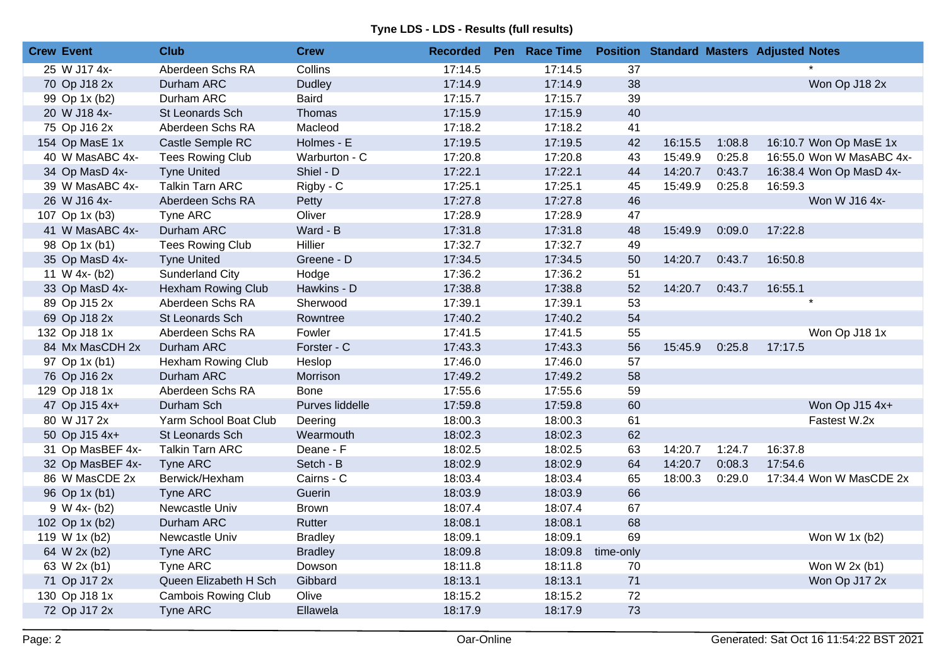| 25 W J17 4x-<br>Aberdeen Schs RA<br>Collins<br>17:14.5<br>17:14.5<br>37<br><b>Dudley</b><br>17:14.9<br>17:14.9<br>38<br>Won Op J18 2x<br>70 Op J18 2x<br>Durham ARC<br>39<br><b>Baird</b><br>17:15.7<br>17:15.7<br>99 Op 1x (b2)<br>Durham ARC<br>40<br>17:15.9<br>17:15.9<br>20 W J18 4x-<br>St Leonards Sch<br>Thomas<br>41<br>75 Op J16 2x<br>Aberdeen Schs RA<br>Macleod<br>17:18.2<br>17:18.2<br>17:19.5<br>17:19.5<br>42<br>154 Op MasE 1x<br>Castle Semple RC<br>Holmes - E<br>16:15.5<br>1:08.8<br>16:10.7 Won Op MasE 1x<br>Warburton - C<br>17:20.8<br>17:20.8<br>43<br>15:49.9<br>0:25.8<br>16:55.0 Won W MasABC 4x-<br>40 W MasABC 4x-<br><b>Tees Rowing Club</b><br>Shiel - D<br>17:22.1<br>17:22.1<br>44<br>14:20.7<br>0:43.7<br>34 Op MasD 4x-<br><b>Tyne United</b><br>16:38.4 Won Op MasD 4x-<br>39 W MasABC 4x-<br><b>Talkin Tarn ARC</b><br>Rigby - C<br>17:25.1<br>17:25.1<br>45<br>15:49.9<br>0:25.8<br>16:59.3<br>17:27.8<br>17:27.8<br>46<br>Won W J16 4x-<br>26 W J16 4x-<br>Aberdeen Schs RA<br>Petty<br>Oliver<br>17:28.9<br>17:28.9<br>47<br>107 Op 1x (b3)<br>Tyne ARC<br>Ward - B<br>41 W MasABC 4x-<br>Durham ARC<br>17:31.8<br>17:31.8<br>48<br>15:49.9<br>0:09.0<br>17:22.8<br>17:32.7<br>17:32.7<br>49<br><b>Tees Rowing Club</b><br>Hillier<br>98 Op 1x (b1)<br>17:34.5<br>17:34.5<br>50<br><b>Tyne United</b><br>Greene - D<br>14:20.7<br>0:43.7<br>35 Op MasD 4x-<br>16:50.8<br>Sunderland City<br>Hodge<br>17:36.2<br>17:36.2<br>51<br>11 W 4x- (b2)<br>52<br>Hawkins - D<br>17:38.8<br>17:38.8<br>14:20.7<br>0:43.7<br>16:55.1<br>33 Op MasD 4x-<br>Hexham Rowing Club<br>$\star$<br>17:39.1<br>17:39.1<br>53<br>89 Op J15 2x<br>Aberdeen Schs RA<br>Sherwood<br>54<br>69 Op J18 2x<br>17:40.2<br>17:40.2<br>St Leonards Sch<br>Rowntree<br>132 Op J18 1x<br>Aberdeen Schs RA<br>Fowler<br>17:41.5<br>17:41.5<br>55<br>Won Op J18 1x<br>Forster - C<br>17:43.3<br>17:43.3<br>56<br>15:45.9<br>0:25.8<br>17:17.5<br>84 Mx MasCDH 2x<br>Durham ARC<br>17:46.0<br>57<br>Hexham Rowing Club<br>Heslop<br>17:46.0<br>97 Op 1x (b1)<br>58<br>17:49.2<br>17:49.2<br>76 Op J16 2x<br>Durham ARC<br>Morrison<br>59<br>129 Op J18 1x<br>Aberdeen Schs RA<br><b>Bone</b><br>17:55.6<br>17:55.6<br>60<br>Durham Sch<br>Purves liddelle<br>17:59.8<br>17:59.8<br>Won Op J15 4x+<br>47 Op J15 4x+<br>Yarm School Boat Club<br>61<br>80 W J17 2x<br>18:00.3<br>18:00.3<br>Fastest W.2x<br>Deering<br>62<br>50 Op J15 4x+<br>18:02.3<br>18:02.3<br>St Leonards Sch<br>Wearmouth<br>16:37.8<br>31 Op MasBEF 4x-<br><b>Talkin Tarn ARC</b><br>Deane - F<br>18:02.5<br>18:02.5<br>63<br>14:20.7<br>1:24.7<br>18:02.9<br>18:02.9<br>64<br>14:20.7<br>0:08.3<br>17:54.6<br>32 Op MasBEF 4x-<br><b>Tyne ARC</b><br>Setch - B<br>86 W MasCDE 2x<br>Berwick/Hexham<br>Cairns - C<br>18:03.4<br>18:03.4<br>65<br>18:00.3<br>0:29.0<br>17:34.4 Won W MasCDE 2x<br>66<br>18:03.9<br><b>Tyne ARC</b><br>Guerin<br>18:03.9<br>96 Op 1x (b1)<br>18:07.4<br>18:07.4<br>67<br>9 W 4x- (b2)<br>Newcastle Univ<br><b>Brown</b><br>68<br>Durham ARC<br>Rutter<br>18:08.1<br>18:08.1<br>102 Op 1x (b2)<br>69<br>18:09.1<br>18:09.1<br>Won W 1x (b2)<br>119 W 1x (b2)<br>Newcastle Univ<br><b>Bradley</b><br>18:09.8<br>18:09.8<br>time-only<br>64 W 2x (b2)<br>Tyne ARC<br><b>Bradley</b><br>18:11.8<br>Won W $2x$ (b1)<br>63 W 2x (b1)<br>Tyne ARC<br>Dowson<br>18:11.8<br>70<br>71<br>Queen Elizabeth H Sch<br>Gibbard<br>18:13.1<br>18:13.1 | <b>Crew Event</b> | <b>Club</b> | <b>Crew</b> | <b>Recorded</b> | Pen Race Time |  | <b>Position Standard Masters Adjusted Notes</b> |
|--------------------------------------------------------------------------------------------------------------------------------------------------------------------------------------------------------------------------------------------------------------------------------------------------------------------------------------------------------------------------------------------------------------------------------------------------------------------------------------------------------------------------------------------------------------------------------------------------------------------------------------------------------------------------------------------------------------------------------------------------------------------------------------------------------------------------------------------------------------------------------------------------------------------------------------------------------------------------------------------------------------------------------------------------------------------------------------------------------------------------------------------------------------------------------------------------------------------------------------------------------------------------------------------------------------------------------------------------------------------------------------------------------------------------------------------------------------------------------------------------------------------------------------------------------------------------------------------------------------------------------------------------------------------------------------------------------------------------------------------------------------------------------------------------------------------------------------------------------------------------------------------------------------------------------------------------------------------------------------------------------------------------------------------------------------------------------------------------------------------------------------------------------------------------------------------------------------------------------------------------------------------------------------------------------------------------------------------------------------------------------------------------------------------------------------------------------------------------------------------------------------------------------------------------------------------------------------------------------------------------------------------------------------------------------------------------------------------------------------------------------------------------------------------------------------------------------------------------------------------------------------------------------------------------------------------------------------------------------------------------------------------------------------------------------------------------------------------------------------------------------------------------------------------------------------------------------------------------------------------------------------------------------------------------------------------------------------------------------------------------------------------------------------------------------------------------|-------------------|-------------|-------------|-----------------|---------------|--|-------------------------------------------------|
|                                                                                                                                                                                                                                                                                                                                                                                                                                                                                                                                                                                                                                                                                                                                                                                                                                                                                                                                                                                                                                                                                                                                                                                                                                                                                                                                                                                                                                                                                                                                                                                                                                                                                                                                                                                                                                                                                                                                                                                                                                                                                                                                                                                                                                                                                                                                                                                                                                                                                                                                                                                                                                                                                                                                                                                                                                                                                                                                                                                                                                                                                                                                                                                                                                                                                                                                                                                                                                                  |                   |             |             |                 |               |  |                                                 |
|                                                                                                                                                                                                                                                                                                                                                                                                                                                                                                                                                                                                                                                                                                                                                                                                                                                                                                                                                                                                                                                                                                                                                                                                                                                                                                                                                                                                                                                                                                                                                                                                                                                                                                                                                                                                                                                                                                                                                                                                                                                                                                                                                                                                                                                                                                                                                                                                                                                                                                                                                                                                                                                                                                                                                                                                                                                                                                                                                                                                                                                                                                                                                                                                                                                                                                                                                                                                                                                  |                   |             |             |                 |               |  |                                                 |
|                                                                                                                                                                                                                                                                                                                                                                                                                                                                                                                                                                                                                                                                                                                                                                                                                                                                                                                                                                                                                                                                                                                                                                                                                                                                                                                                                                                                                                                                                                                                                                                                                                                                                                                                                                                                                                                                                                                                                                                                                                                                                                                                                                                                                                                                                                                                                                                                                                                                                                                                                                                                                                                                                                                                                                                                                                                                                                                                                                                                                                                                                                                                                                                                                                                                                                                                                                                                                                                  |                   |             |             |                 |               |  |                                                 |
|                                                                                                                                                                                                                                                                                                                                                                                                                                                                                                                                                                                                                                                                                                                                                                                                                                                                                                                                                                                                                                                                                                                                                                                                                                                                                                                                                                                                                                                                                                                                                                                                                                                                                                                                                                                                                                                                                                                                                                                                                                                                                                                                                                                                                                                                                                                                                                                                                                                                                                                                                                                                                                                                                                                                                                                                                                                                                                                                                                                                                                                                                                                                                                                                                                                                                                                                                                                                                                                  |                   |             |             |                 |               |  |                                                 |
|                                                                                                                                                                                                                                                                                                                                                                                                                                                                                                                                                                                                                                                                                                                                                                                                                                                                                                                                                                                                                                                                                                                                                                                                                                                                                                                                                                                                                                                                                                                                                                                                                                                                                                                                                                                                                                                                                                                                                                                                                                                                                                                                                                                                                                                                                                                                                                                                                                                                                                                                                                                                                                                                                                                                                                                                                                                                                                                                                                                                                                                                                                                                                                                                                                                                                                                                                                                                                                                  |                   |             |             |                 |               |  |                                                 |
|                                                                                                                                                                                                                                                                                                                                                                                                                                                                                                                                                                                                                                                                                                                                                                                                                                                                                                                                                                                                                                                                                                                                                                                                                                                                                                                                                                                                                                                                                                                                                                                                                                                                                                                                                                                                                                                                                                                                                                                                                                                                                                                                                                                                                                                                                                                                                                                                                                                                                                                                                                                                                                                                                                                                                                                                                                                                                                                                                                                                                                                                                                                                                                                                                                                                                                                                                                                                                                                  |                   |             |             |                 |               |  |                                                 |
|                                                                                                                                                                                                                                                                                                                                                                                                                                                                                                                                                                                                                                                                                                                                                                                                                                                                                                                                                                                                                                                                                                                                                                                                                                                                                                                                                                                                                                                                                                                                                                                                                                                                                                                                                                                                                                                                                                                                                                                                                                                                                                                                                                                                                                                                                                                                                                                                                                                                                                                                                                                                                                                                                                                                                                                                                                                                                                                                                                                                                                                                                                                                                                                                                                                                                                                                                                                                                                                  |                   |             |             |                 |               |  |                                                 |
|                                                                                                                                                                                                                                                                                                                                                                                                                                                                                                                                                                                                                                                                                                                                                                                                                                                                                                                                                                                                                                                                                                                                                                                                                                                                                                                                                                                                                                                                                                                                                                                                                                                                                                                                                                                                                                                                                                                                                                                                                                                                                                                                                                                                                                                                                                                                                                                                                                                                                                                                                                                                                                                                                                                                                                                                                                                                                                                                                                                                                                                                                                                                                                                                                                                                                                                                                                                                                                                  |                   |             |             |                 |               |  |                                                 |
|                                                                                                                                                                                                                                                                                                                                                                                                                                                                                                                                                                                                                                                                                                                                                                                                                                                                                                                                                                                                                                                                                                                                                                                                                                                                                                                                                                                                                                                                                                                                                                                                                                                                                                                                                                                                                                                                                                                                                                                                                                                                                                                                                                                                                                                                                                                                                                                                                                                                                                                                                                                                                                                                                                                                                                                                                                                                                                                                                                                                                                                                                                                                                                                                                                                                                                                                                                                                                                                  |                   |             |             |                 |               |  |                                                 |
|                                                                                                                                                                                                                                                                                                                                                                                                                                                                                                                                                                                                                                                                                                                                                                                                                                                                                                                                                                                                                                                                                                                                                                                                                                                                                                                                                                                                                                                                                                                                                                                                                                                                                                                                                                                                                                                                                                                                                                                                                                                                                                                                                                                                                                                                                                                                                                                                                                                                                                                                                                                                                                                                                                                                                                                                                                                                                                                                                                                                                                                                                                                                                                                                                                                                                                                                                                                                                                                  |                   |             |             |                 |               |  |                                                 |
|                                                                                                                                                                                                                                                                                                                                                                                                                                                                                                                                                                                                                                                                                                                                                                                                                                                                                                                                                                                                                                                                                                                                                                                                                                                                                                                                                                                                                                                                                                                                                                                                                                                                                                                                                                                                                                                                                                                                                                                                                                                                                                                                                                                                                                                                                                                                                                                                                                                                                                                                                                                                                                                                                                                                                                                                                                                                                                                                                                                                                                                                                                                                                                                                                                                                                                                                                                                                                                                  |                   |             |             |                 |               |  |                                                 |
|                                                                                                                                                                                                                                                                                                                                                                                                                                                                                                                                                                                                                                                                                                                                                                                                                                                                                                                                                                                                                                                                                                                                                                                                                                                                                                                                                                                                                                                                                                                                                                                                                                                                                                                                                                                                                                                                                                                                                                                                                                                                                                                                                                                                                                                                                                                                                                                                                                                                                                                                                                                                                                                                                                                                                                                                                                                                                                                                                                                                                                                                                                                                                                                                                                                                                                                                                                                                                                                  |                   |             |             |                 |               |  |                                                 |
|                                                                                                                                                                                                                                                                                                                                                                                                                                                                                                                                                                                                                                                                                                                                                                                                                                                                                                                                                                                                                                                                                                                                                                                                                                                                                                                                                                                                                                                                                                                                                                                                                                                                                                                                                                                                                                                                                                                                                                                                                                                                                                                                                                                                                                                                                                                                                                                                                                                                                                                                                                                                                                                                                                                                                                                                                                                                                                                                                                                                                                                                                                                                                                                                                                                                                                                                                                                                                                                  |                   |             |             |                 |               |  |                                                 |
|                                                                                                                                                                                                                                                                                                                                                                                                                                                                                                                                                                                                                                                                                                                                                                                                                                                                                                                                                                                                                                                                                                                                                                                                                                                                                                                                                                                                                                                                                                                                                                                                                                                                                                                                                                                                                                                                                                                                                                                                                                                                                                                                                                                                                                                                                                                                                                                                                                                                                                                                                                                                                                                                                                                                                                                                                                                                                                                                                                                                                                                                                                                                                                                                                                                                                                                                                                                                                                                  |                   |             |             |                 |               |  |                                                 |
|                                                                                                                                                                                                                                                                                                                                                                                                                                                                                                                                                                                                                                                                                                                                                                                                                                                                                                                                                                                                                                                                                                                                                                                                                                                                                                                                                                                                                                                                                                                                                                                                                                                                                                                                                                                                                                                                                                                                                                                                                                                                                                                                                                                                                                                                                                                                                                                                                                                                                                                                                                                                                                                                                                                                                                                                                                                                                                                                                                                                                                                                                                                                                                                                                                                                                                                                                                                                                                                  |                   |             |             |                 |               |  |                                                 |
|                                                                                                                                                                                                                                                                                                                                                                                                                                                                                                                                                                                                                                                                                                                                                                                                                                                                                                                                                                                                                                                                                                                                                                                                                                                                                                                                                                                                                                                                                                                                                                                                                                                                                                                                                                                                                                                                                                                                                                                                                                                                                                                                                                                                                                                                                                                                                                                                                                                                                                                                                                                                                                                                                                                                                                                                                                                                                                                                                                                                                                                                                                                                                                                                                                                                                                                                                                                                                                                  |                   |             |             |                 |               |  |                                                 |
|                                                                                                                                                                                                                                                                                                                                                                                                                                                                                                                                                                                                                                                                                                                                                                                                                                                                                                                                                                                                                                                                                                                                                                                                                                                                                                                                                                                                                                                                                                                                                                                                                                                                                                                                                                                                                                                                                                                                                                                                                                                                                                                                                                                                                                                                                                                                                                                                                                                                                                                                                                                                                                                                                                                                                                                                                                                                                                                                                                                                                                                                                                                                                                                                                                                                                                                                                                                                                                                  |                   |             |             |                 |               |  |                                                 |
|                                                                                                                                                                                                                                                                                                                                                                                                                                                                                                                                                                                                                                                                                                                                                                                                                                                                                                                                                                                                                                                                                                                                                                                                                                                                                                                                                                                                                                                                                                                                                                                                                                                                                                                                                                                                                                                                                                                                                                                                                                                                                                                                                                                                                                                                                                                                                                                                                                                                                                                                                                                                                                                                                                                                                                                                                                                                                                                                                                                                                                                                                                                                                                                                                                                                                                                                                                                                                                                  |                   |             |             |                 |               |  |                                                 |
|                                                                                                                                                                                                                                                                                                                                                                                                                                                                                                                                                                                                                                                                                                                                                                                                                                                                                                                                                                                                                                                                                                                                                                                                                                                                                                                                                                                                                                                                                                                                                                                                                                                                                                                                                                                                                                                                                                                                                                                                                                                                                                                                                                                                                                                                                                                                                                                                                                                                                                                                                                                                                                                                                                                                                                                                                                                                                                                                                                                                                                                                                                                                                                                                                                                                                                                                                                                                                                                  |                   |             |             |                 |               |  |                                                 |
|                                                                                                                                                                                                                                                                                                                                                                                                                                                                                                                                                                                                                                                                                                                                                                                                                                                                                                                                                                                                                                                                                                                                                                                                                                                                                                                                                                                                                                                                                                                                                                                                                                                                                                                                                                                                                                                                                                                                                                                                                                                                                                                                                                                                                                                                                                                                                                                                                                                                                                                                                                                                                                                                                                                                                                                                                                                                                                                                                                                                                                                                                                                                                                                                                                                                                                                                                                                                                                                  |                   |             |             |                 |               |  |                                                 |
|                                                                                                                                                                                                                                                                                                                                                                                                                                                                                                                                                                                                                                                                                                                                                                                                                                                                                                                                                                                                                                                                                                                                                                                                                                                                                                                                                                                                                                                                                                                                                                                                                                                                                                                                                                                                                                                                                                                                                                                                                                                                                                                                                                                                                                                                                                                                                                                                                                                                                                                                                                                                                                                                                                                                                                                                                                                                                                                                                                                                                                                                                                                                                                                                                                                                                                                                                                                                                                                  |                   |             |             |                 |               |  |                                                 |
|                                                                                                                                                                                                                                                                                                                                                                                                                                                                                                                                                                                                                                                                                                                                                                                                                                                                                                                                                                                                                                                                                                                                                                                                                                                                                                                                                                                                                                                                                                                                                                                                                                                                                                                                                                                                                                                                                                                                                                                                                                                                                                                                                                                                                                                                                                                                                                                                                                                                                                                                                                                                                                                                                                                                                                                                                                                                                                                                                                                                                                                                                                                                                                                                                                                                                                                                                                                                                                                  |                   |             |             |                 |               |  |                                                 |
|                                                                                                                                                                                                                                                                                                                                                                                                                                                                                                                                                                                                                                                                                                                                                                                                                                                                                                                                                                                                                                                                                                                                                                                                                                                                                                                                                                                                                                                                                                                                                                                                                                                                                                                                                                                                                                                                                                                                                                                                                                                                                                                                                                                                                                                                                                                                                                                                                                                                                                                                                                                                                                                                                                                                                                                                                                                                                                                                                                                                                                                                                                                                                                                                                                                                                                                                                                                                                                                  |                   |             |             |                 |               |  |                                                 |
|                                                                                                                                                                                                                                                                                                                                                                                                                                                                                                                                                                                                                                                                                                                                                                                                                                                                                                                                                                                                                                                                                                                                                                                                                                                                                                                                                                                                                                                                                                                                                                                                                                                                                                                                                                                                                                                                                                                                                                                                                                                                                                                                                                                                                                                                                                                                                                                                                                                                                                                                                                                                                                                                                                                                                                                                                                                                                                                                                                                                                                                                                                                                                                                                                                                                                                                                                                                                                                                  |                   |             |             |                 |               |  |                                                 |
|                                                                                                                                                                                                                                                                                                                                                                                                                                                                                                                                                                                                                                                                                                                                                                                                                                                                                                                                                                                                                                                                                                                                                                                                                                                                                                                                                                                                                                                                                                                                                                                                                                                                                                                                                                                                                                                                                                                                                                                                                                                                                                                                                                                                                                                                                                                                                                                                                                                                                                                                                                                                                                                                                                                                                                                                                                                                                                                                                                                                                                                                                                                                                                                                                                                                                                                                                                                                                                                  |                   |             |             |                 |               |  |                                                 |
|                                                                                                                                                                                                                                                                                                                                                                                                                                                                                                                                                                                                                                                                                                                                                                                                                                                                                                                                                                                                                                                                                                                                                                                                                                                                                                                                                                                                                                                                                                                                                                                                                                                                                                                                                                                                                                                                                                                                                                                                                                                                                                                                                                                                                                                                                                                                                                                                                                                                                                                                                                                                                                                                                                                                                                                                                                                                                                                                                                                                                                                                                                                                                                                                                                                                                                                                                                                                                                                  |                   |             |             |                 |               |  |                                                 |
|                                                                                                                                                                                                                                                                                                                                                                                                                                                                                                                                                                                                                                                                                                                                                                                                                                                                                                                                                                                                                                                                                                                                                                                                                                                                                                                                                                                                                                                                                                                                                                                                                                                                                                                                                                                                                                                                                                                                                                                                                                                                                                                                                                                                                                                                                                                                                                                                                                                                                                                                                                                                                                                                                                                                                                                                                                                                                                                                                                                                                                                                                                                                                                                                                                                                                                                                                                                                                                                  |                   |             |             |                 |               |  |                                                 |
|                                                                                                                                                                                                                                                                                                                                                                                                                                                                                                                                                                                                                                                                                                                                                                                                                                                                                                                                                                                                                                                                                                                                                                                                                                                                                                                                                                                                                                                                                                                                                                                                                                                                                                                                                                                                                                                                                                                                                                                                                                                                                                                                                                                                                                                                                                                                                                                                                                                                                                                                                                                                                                                                                                                                                                                                                                                                                                                                                                                                                                                                                                                                                                                                                                                                                                                                                                                                                                                  |                   |             |             |                 |               |  |                                                 |
|                                                                                                                                                                                                                                                                                                                                                                                                                                                                                                                                                                                                                                                                                                                                                                                                                                                                                                                                                                                                                                                                                                                                                                                                                                                                                                                                                                                                                                                                                                                                                                                                                                                                                                                                                                                                                                                                                                                                                                                                                                                                                                                                                                                                                                                                                                                                                                                                                                                                                                                                                                                                                                                                                                                                                                                                                                                                                                                                                                                                                                                                                                                                                                                                                                                                                                                                                                                                                                                  |                   |             |             |                 |               |  |                                                 |
|                                                                                                                                                                                                                                                                                                                                                                                                                                                                                                                                                                                                                                                                                                                                                                                                                                                                                                                                                                                                                                                                                                                                                                                                                                                                                                                                                                                                                                                                                                                                                                                                                                                                                                                                                                                                                                                                                                                                                                                                                                                                                                                                                                                                                                                                                                                                                                                                                                                                                                                                                                                                                                                                                                                                                                                                                                                                                                                                                                                                                                                                                                                                                                                                                                                                                                                                                                                                                                                  |                   |             |             |                 |               |  |                                                 |
|                                                                                                                                                                                                                                                                                                                                                                                                                                                                                                                                                                                                                                                                                                                                                                                                                                                                                                                                                                                                                                                                                                                                                                                                                                                                                                                                                                                                                                                                                                                                                                                                                                                                                                                                                                                                                                                                                                                                                                                                                                                                                                                                                                                                                                                                                                                                                                                                                                                                                                                                                                                                                                                                                                                                                                                                                                                                                                                                                                                                                                                                                                                                                                                                                                                                                                                                                                                                                                                  |                   |             |             |                 |               |  |                                                 |
|                                                                                                                                                                                                                                                                                                                                                                                                                                                                                                                                                                                                                                                                                                                                                                                                                                                                                                                                                                                                                                                                                                                                                                                                                                                                                                                                                                                                                                                                                                                                                                                                                                                                                                                                                                                                                                                                                                                                                                                                                                                                                                                                                                                                                                                                                                                                                                                                                                                                                                                                                                                                                                                                                                                                                                                                                                                                                                                                                                                                                                                                                                                                                                                                                                                                                                                                                                                                                                                  |                   |             |             |                 |               |  |                                                 |
|                                                                                                                                                                                                                                                                                                                                                                                                                                                                                                                                                                                                                                                                                                                                                                                                                                                                                                                                                                                                                                                                                                                                                                                                                                                                                                                                                                                                                                                                                                                                                                                                                                                                                                                                                                                                                                                                                                                                                                                                                                                                                                                                                                                                                                                                                                                                                                                                                                                                                                                                                                                                                                                                                                                                                                                                                                                                                                                                                                                                                                                                                                                                                                                                                                                                                                                                                                                                                                                  |                   |             |             |                 |               |  |                                                 |
|                                                                                                                                                                                                                                                                                                                                                                                                                                                                                                                                                                                                                                                                                                                                                                                                                                                                                                                                                                                                                                                                                                                                                                                                                                                                                                                                                                                                                                                                                                                                                                                                                                                                                                                                                                                                                                                                                                                                                                                                                                                                                                                                                                                                                                                                                                                                                                                                                                                                                                                                                                                                                                                                                                                                                                                                                                                                                                                                                                                                                                                                                                                                                                                                                                                                                                                                                                                                                                                  |                   |             |             |                 |               |  |                                                 |
|                                                                                                                                                                                                                                                                                                                                                                                                                                                                                                                                                                                                                                                                                                                                                                                                                                                                                                                                                                                                                                                                                                                                                                                                                                                                                                                                                                                                                                                                                                                                                                                                                                                                                                                                                                                                                                                                                                                                                                                                                                                                                                                                                                                                                                                                                                                                                                                                                                                                                                                                                                                                                                                                                                                                                                                                                                                                                                                                                                                                                                                                                                                                                                                                                                                                                                                                                                                                                                                  |                   |             |             |                 |               |  |                                                 |
|                                                                                                                                                                                                                                                                                                                                                                                                                                                                                                                                                                                                                                                                                                                                                                                                                                                                                                                                                                                                                                                                                                                                                                                                                                                                                                                                                                                                                                                                                                                                                                                                                                                                                                                                                                                                                                                                                                                                                                                                                                                                                                                                                                                                                                                                                                                                                                                                                                                                                                                                                                                                                                                                                                                                                                                                                                                                                                                                                                                                                                                                                                                                                                                                                                                                                                                                                                                                                                                  | 71 Op J17 2x      |             |             |                 |               |  | Won Op J17 2x                                   |
| Olive<br>72<br><b>Cambois Rowing Club</b><br>18:15.2<br>18:15.2<br>130 Op J18 1x                                                                                                                                                                                                                                                                                                                                                                                                                                                                                                                                                                                                                                                                                                                                                                                                                                                                                                                                                                                                                                                                                                                                                                                                                                                                                                                                                                                                                                                                                                                                                                                                                                                                                                                                                                                                                                                                                                                                                                                                                                                                                                                                                                                                                                                                                                                                                                                                                                                                                                                                                                                                                                                                                                                                                                                                                                                                                                                                                                                                                                                                                                                                                                                                                                                                                                                                                                 |                   |             |             |                 |               |  |                                                 |
| 73<br>Ellawela<br>18:17.9<br>18:17.9<br>72 Op J17 2x<br>Tyne ARC                                                                                                                                                                                                                                                                                                                                                                                                                                                                                                                                                                                                                                                                                                                                                                                                                                                                                                                                                                                                                                                                                                                                                                                                                                                                                                                                                                                                                                                                                                                                                                                                                                                                                                                                                                                                                                                                                                                                                                                                                                                                                                                                                                                                                                                                                                                                                                                                                                                                                                                                                                                                                                                                                                                                                                                                                                                                                                                                                                                                                                                                                                                                                                                                                                                                                                                                                                                 |                   |             |             |                 |               |  |                                                 |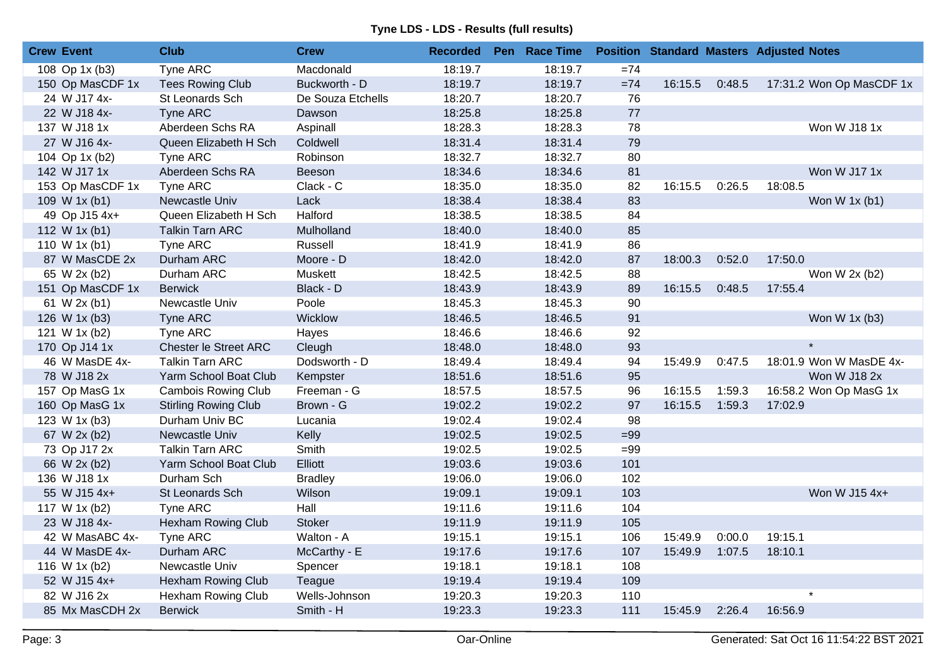| <b>Crew Event</b> | <b>Club</b>                 | <b>Crew</b>       | <b>Recorded</b> | Pen Race Time |       |         |        | <b>Position Standard Masters Adjusted Notes</b> |
|-------------------|-----------------------------|-------------------|-----------------|---------------|-------|---------|--------|-------------------------------------------------|
| 108 Op 1x (b3)    | <b>Tyne ARC</b>             | Macdonald         | 18:19.7         | 18:19.7       | $=74$ |         |        |                                                 |
| 150 Op MasCDF 1x  | <b>Tees Rowing Club</b>     | Buckworth - D     | 18:19.7         | 18:19.7       | $=74$ | 16:15.5 | 0:48.5 | 17:31.2 Won Op MasCDF 1x                        |
| 24 W J17 4x-      | St Leonards Sch             | De Souza Etchells | 18:20.7         | 18:20.7       | 76    |         |        |                                                 |
| 22 W J18 4x-      | <b>Tyne ARC</b>             | Dawson            | 18:25.8         | 18:25.8       | 77    |         |        |                                                 |
| 137 W J18 1x      | Aberdeen Schs RA            | Aspinall          | 18:28.3         | 18:28.3       | 78    |         |        | Won W J18 1x                                    |
| 27 W J16 4x-      | Queen Elizabeth H Sch       | Coldwell          | 18:31.4         | 18:31.4       | 79    |         |        |                                                 |
| 104 Op 1x (b2)    | Tyne ARC                    | Robinson          | 18:32.7         | 18:32.7       | 80    |         |        |                                                 |
| 142 W J17 1x      | Aberdeen Schs RA            | Beeson            | 18:34.6         | 18:34.6       | 81    |         |        | Won W J17 1x                                    |
| 153 Op MasCDF 1x  | <b>Tyne ARC</b>             | Clack - C         | 18:35.0         | 18:35.0       | 82    | 16:15.5 | 0:26.5 | 18:08.5                                         |
| 109 W 1x (b1)     | Newcastle Univ              | Lack              | 18:38.4         | 18:38.4       | 83    |         |        | Won W 1x (b1)                                   |
| 49 Op J15 4x+     | Queen Elizabeth H Sch       | Halford           | 18:38.5         | 18:38.5       | 84    |         |        |                                                 |
| 112 W 1x (b1)     | <b>Talkin Tarn ARC</b>      | Mulholland        | 18:40.0         | 18:40.0       | 85    |         |        |                                                 |
| 110 W 1x (b1)     | Tyne ARC                    | Russell           | 18:41.9         | 18:41.9       | 86    |         |        |                                                 |
| 87 W MasCDE 2x    | Durham ARC                  | Moore - D         | 18:42.0         | 18:42.0       | 87    | 18:00.3 | 0:52.0 | 17:50.0                                         |
| 65 W 2x (b2)      | Durham ARC                  | Muskett           | 18:42.5         | 18:42.5       | 88    |         |        | Won W 2x (b2)                                   |
| 151 Op MasCDF 1x  | <b>Berwick</b>              | Black - D         | 18:43.9         | 18:43.9       | 89    | 16:15.5 | 0:48.5 | 17:55.4                                         |
| 61 W 2x (b1)      | Newcastle Univ              | Poole             | 18:45.3         | 18:45.3       | 90    |         |        |                                                 |
| 126 W 1x (b3)     | <b>Tyne ARC</b>             | Wicklow           | 18:46.5         | 18:46.5       | 91    |         |        | Won W 1x (b3)                                   |
| 121 W 1x (b2)     | Tyne ARC                    | Hayes             | 18:46.6         | 18:46.6       | 92    |         |        |                                                 |
| 170 Op J14 1x     | Chester le Street ARC       | Cleugh            | 18:48.0         | 18:48.0       | 93    |         |        | $\star$                                         |
| 46 W MasDE 4x-    | <b>Talkin Tarn ARC</b>      | Dodsworth - D     | 18:49.4         | 18:49.4       | 94    | 15:49.9 | 0:47.5 | 18:01.9 Won W MasDE 4x-                         |
| 78 W J18 2x       | Yarm School Boat Club       | Kempster          | 18:51.6         | 18:51.6       | 95    |         |        | Won W J18 2x                                    |
| 157 Op MasG 1x    | <b>Cambois Rowing Club</b>  | Freeman - G       | 18:57.5         | 18:57.5       | 96    | 16:15.5 | 1:59.3 | 16:58.2 Won Op MasG 1x                          |
| 160 Op MasG 1x    | <b>Stirling Rowing Club</b> | Brown - G         | 19:02.2         | 19:02.2       | 97    | 16:15.5 | 1:59.3 | 17:02.9                                         |
| 123 W 1x (b3)     | Durham Univ BC              | Lucania           | 19:02.4         | 19:02.4       | 98    |         |        |                                                 |
| 67 W 2x (b2)      | Newcastle Univ              | Kelly             | 19:02.5         | 19:02.5       | $=99$ |         |        |                                                 |
| 73 Op J17 2x      | <b>Talkin Tarn ARC</b>      | Smith             | 19:02.5         | 19:02.5       | $=99$ |         |        |                                                 |
| 66 W 2x (b2)      | Yarm School Boat Club       | Elliott           | 19:03.6         | 19:03.6       | 101   |         |        |                                                 |
| 136 W J18 1x      | Durham Sch                  | <b>Bradley</b>    | 19:06.0         | 19:06.0       | 102   |         |        |                                                 |
| 55 W J15 4x+      | St Leonards Sch             | Wilson            | 19:09.1         | 19:09.1       | 103   |         |        | Won W J15 4x+                                   |
| 117 W 1x (b2)     | Tyne ARC                    | Hall              | 19:11.6         | 19:11.6       | 104   |         |        |                                                 |
| 23 W J18 4x-      | <b>Hexham Rowing Club</b>   | <b>Stoker</b>     | 19:11.9         | 19:11.9       | 105   |         |        |                                                 |
| 42 W MasABC 4x-   | Tyne ARC                    | Walton - A        | 19:15.1         | 19:15.1       | 106   | 15:49.9 | 0:00.0 | 19:15.1                                         |
| 44 W MasDE 4x-    | Durham ARC                  | McCarthy - E      | 19:17.6         | 19:17.6       | 107   | 15:49.9 | 1:07.5 | 18:10.1                                         |
| 116 W 1x (b2)     | Newcastle Univ              | Spencer           | 19:18.1         | 19:18.1       | 108   |         |        |                                                 |
| 52 W J15 4x+      | <b>Hexham Rowing Club</b>   | Teague            | 19:19.4         | 19:19.4       | 109   |         |        |                                                 |
| 82 W J16 2x       | Hexham Rowing Club          | Wells-Johnson     | 19:20.3         | 19:20.3       | 110   |         |        | $\star$                                         |
| 85 Mx MasCDH 2x   | <b>Berwick</b>              | Smith - H         | 19:23.3         | 19:23.3       | 111   | 15:45.9 | 2:26.4 | 16:56.9                                         |
|                   |                             |                   |                 |               |       |         |        |                                                 |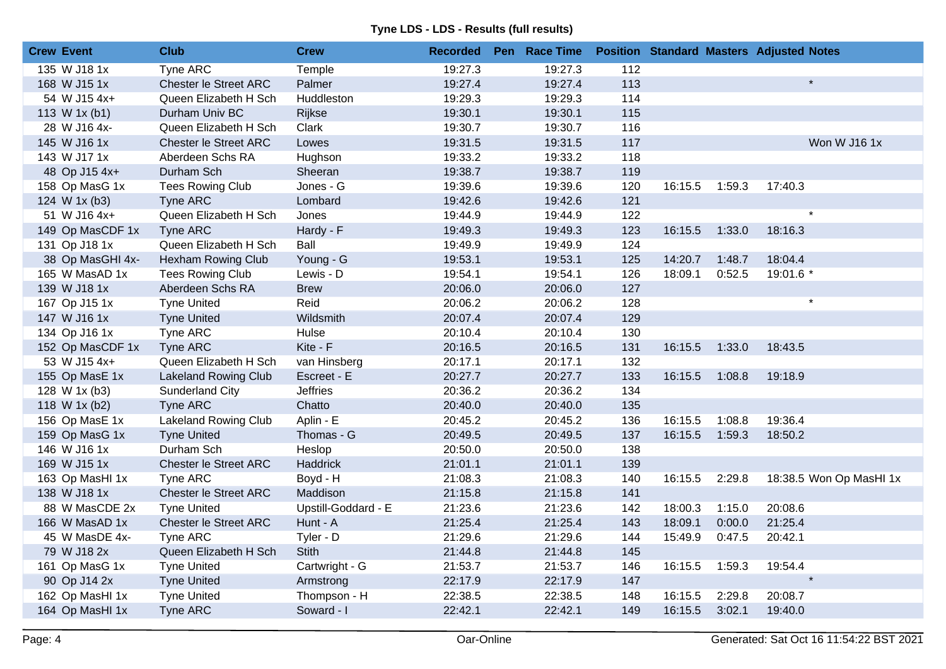| <b>Crew Event</b> |                  | <b>Club</b>                  | <b>Crew</b>         | <b>Recorded</b> | Pen Race Time |                  |         |        | <b>Position Standard Masters Adjusted Notes</b> |
|-------------------|------------------|------------------------------|---------------------|-----------------|---------------|------------------|---------|--------|-------------------------------------------------|
|                   | 135 W J18 1x     | <b>Tyne ARC</b>              | Temple              | 19:27.3         | 19:27.3       | $\overline{112}$ |         |        |                                                 |
|                   | 168 W J15 1x     | <b>Chester le Street ARC</b> | Palmer              | 19:27.4         | 19:27.4       | 113              |         |        | $\star$                                         |
|                   | 54 W J15 4x+     | Queen Elizabeth H Sch        | Huddleston          | 19:29.3         | 19:29.3       | 114              |         |        |                                                 |
|                   | 113 W 1x (b1)    | Durham Univ BC               | Rijkse              | 19:30.1         | 19:30.1       | 115              |         |        |                                                 |
|                   | 28 W J16 4x-     | Queen Elizabeth H Sch        | Clark               | 19:30.7         | 19:30.7       | 116              |         |        |                                                 |
|                   | 145 W J16 1x     | <b>Chester le Street ARC</b> | Lowes               | 19:31.5         | 19:31.5       | 117              |         |        | Won W J16 1x                                    |
|                   | 143 W J17 1x     | Aberdeen Schs RA             | Hughson             | 19:33.2         | 19:33.2       | 118              |         |        |                                                 |
|                   | 48 Op J15 4x+    | Durham Sch                   | Sheeran             | 19:38.7         | 19:38.7       | 119              |         |        |                                                 |
|                   | 158 Op MasG 1x   | <b>Tees Rowing Club</b>      | Jones - G           | 19:39.6         | 19:39.6       | 120              | 16:15.5 | 1:59.3 | 17:40.3                                         |
|                   | 124 W 1x (b3)    | Tyne ARC                     | Lombard             | 19:42.6         | 19:42.6       | 121              |         |        |                                                 |
|                   | 51 W J16 4x+     | Queen Elizabeth H Sch        | Jones               | 19:44.9         | 19:44.9       | 122              |         |        | $\star$                                         |
|                   | 149 Op MasCDF 1x | <b>Tyne ARC</b>              | Hardy - F           | 19:49.3         | 19:49.3       | 123              | 16:15.5 | 1:33.0 | 18:16.3                                         |
|                   | 131 Op J18 1x    | Queen Elizabeth H Sch        | Ball                | 19:49.9         | 19:49.9       | 124              |         |        |                                                 |
|                   | 38 Op MasGHI 4x- | Hexham Rowing Club           | Young - G           | 19:53.1         | 19:53.1       | 125              | 14:20.7 | 1:48.7 | 18:04.4                                         |
|                   | 165 W MasAD 1x   | <b>Tees Rowing Club</b>      | Lewis - D           | 19:54.1         | 19:54.1       | 126              | 18:09.1 | 0:52.5 | 19:01.6 *                                       |
|                   | 139 W J18 1x     | Aberdeen Schs RA             | <b>Brew</b>         | 20:06.0         | 20:06.0       | 127              |         |        |                                                 |
|                   | 167 Op J15 1x    | <b>Tyne United</b>           | Reid                | 20:06.2         | 20:06.2       | 128              |         |        | $\star$                                         |
|                   | 147 W J16 1x     | <b>Tyne United</b>           | Wildsmith           | 20:07.4         | 20:07.4       | 129              |         |        |                                                 |
|                   | 134 Op J16 1x    | Tyne ARC                     | Hulse               | 20:10.4         | 20:10.4       | 130              |         |        |                                                 |
|                   | 152 Op MasCDF 1x | Tyne ARC                     | Kite - F            | 20:16.5         | 20:16.5       | 131              | 16:15.5 | 1:33.0 | 18:43.5                                         |
|                   | 53 W J15 4x+     | Queen Elizabeth H Sch        | van Hinsberg        | 20:17.1         | 20:17.1       | 132              |         |        |                                                 |
|                   | 155 Op MasE 1x   | <b>Lakeland Rowing Club</b>  | Escreet - E         | 20:27.7         | 20:27.7       | 133              | 16:15.5 | 1:08.8 | 19:18.9                                         |
|                   | 128 W 1x (b3)    | Sunderland City              | <b>Jeffries</b>     | 20:36.2         | 20:36.2       | 134              |         |        |                                                 |
|                   | 118 W 1x (b2)    | <b>Tyne ARC</b>              | Chatto              | 20:40.0         | 20:40.0       | 135              |         |        |                                                 |
|                   | 156 Op MasE 1x   | Lakeland Rowing Club         | Aplin - E           | 20:45.2         | 20:45.2       | 136              | 16:15.5 | 1:08.8 | 19:36.4                                         |
|                   | 159 Op MasG 1x   | <b>Tyne United</b>           | Thomas - G          | 20:49.5         | 20:49.5       | 137              | 16:15.5 | 1:59.3 | 18:50.2                                         |
|                   | 146 W J16 1x     | Durham Sch                   | Heslop              | 20:50.0         | 20:50.0       | 138              |         |        |                                                 |
|                   | 169 W J15 1x     | Chester le Street ARC        | <b>Haddrick</b>     | 21:01.1         | 21:01.1       | 139              |         |        |                                                 |
|                   | 163 Op MasHI 1x  | Tyne ARC                     | Boyd - H            | 21:08.3         | 21:08.3       | 140              | 16:15.5 | 2:29.8 | 18:38.5 Won Op MasHI 1x                         |
|                   | 138 W J18 1x     | Chester le Street ARC        | Maddison            | 21:15.8         | 21:15.8       | 141              |         |        |                                                 |
|                   | 88 W MasCDE 2x   | <b>Tyne United</b>           | Upstill-Goddard - E | 21:23.6         | 21:23.6       | 142              | 18:00.3 | 1:15.0 | 20:08.6                                         |
|                   | 166 W MasAD 1x   | Chester le Street ARC        | Hunt - A            | 21:25.4         | 21:25.4       | 143              | 18:09.1 | 0:00.0 | 21:25.4                                         |
|                   | 45 W MasDE 4x-   | Tyne ARC                     | Tyler - D           | 21:29.6         | 21:29.6       | 144              | 15:49.9 | 0:47.5 | 20:42.1                                         |
|                   | 79 W J18 2x      | Queen Elizabeth H Sch        | Stith               | 21:44.8         | 21:44.8       | 145              |         |        |                                                 |
|                   | 161 Op MasG 1x   | <b>Tyne United</b>           | Cartwright - G      | 21:53.7         | 21:53.7       | 146              | 16:15.5 | 1:59.3 | 19:54.4                                         |
|                   | 90 Op J14 2x     | <b>Tyne United</b>           | Armstrong           | 22:17.9         | 22:17.9       | 147              |         |        |                                                 |
|                   | 162 Op MasHI 1x  | <b>Tyne United</b>           | Thompson - H        | 22:38.5         | 22:38.5       | 148              | 16:15.5 | 2:29.8 | 20:08.7                                         |
|                   | 164 Op MasHI 1x  | Tyne ARC                     | Soward - I          | 22:42.1         | 22:42.1       | 149              | 16:15.5 | 3:02.1 | 19:40.0                                         |
|                   |                  |                              |                     |                 |               |                  |         |        |                                                 |